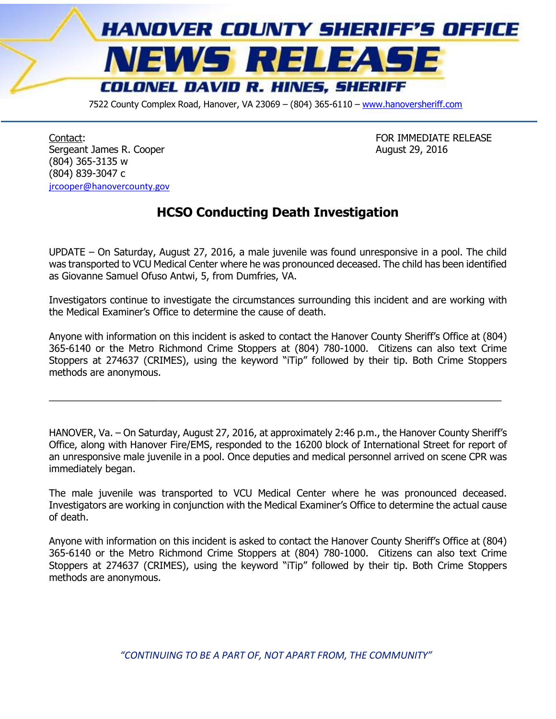

7522 County Complex Road, Hanover, VA 23069 - (804) 365-6110 - [www.hanoversheriff.com](http://www.hanoversheriff.com/)

Contact: FOR IMMEDIATE RELEASE Sergeant James R. Cooper **August 29, 2016** (804) 365-3135 w (804) 839-3047 c [jrcooper@hanovercounty.gov](mailto:jrcooper@hanovercounty.gov)

## **HCSO Conducting Death Investigation**

UPDATE – On Saturday, August 27, 2016, a male juvenile was found unresponsive in a pool. The child was transported to VCU Medical Center where he was pronounced deceased. The child has been identified as Giovanne Samuel Ofuso Antwi, 5, from Dumfries, VA.

Investigators continue to investigate the circumstances surrounding this incident and are working with the Medical Examiner's Office to determine the cause of death.

Anyone with information on this incident is asked to contact the Hanover County Sheriff's Office at (804) 365-6140 or the Metro Richmond Crime Stoppers at (804) 780-1000. Citizens can also text Crime Stoppers at 274637 (CRIMES), using the keyword "iTip" followed by their tip. Both Crime Stoppers methods are anonymous.

 $\_$  , and the set of the set of the set of the set of the set of the set of the set of the set of the set of the set of the set of the set of the set of the set of the set of the set of the set of the set of the set of th

HANOVER, Va. – On Saturday, August 27, 2016, at approximately 2:46 p.m., the Hanover County Sheriff's Office, along with Hanover Fire/EMS, responded to the 16200 block of International Street for report of an unresponsive male juvenile in a pool. Once deputies and medical personnel arrived on scene CPR was immediately began.

The male juvenile was transported to VCU Medical Center where he was pronounced deceased. Investigators are working in conjunction with the Medical Examiner's Office to determine the actual cause of death.

Anyone with information on this incident is asked to contact the Hanover County Sheriff's Office at (804) 365-6140 or the Metro Richmond Crime Stoppers at (804) 780-1000. Citizens can also text Crime Stoppers at 274637 (CRIMES), using the keyword "iTip" followed by their tip. Both Crime Stoppers methods are anonymous.

*"CONTINUING TO BE A PART OF, NOT APART FROM, THE COMMUNITY"*